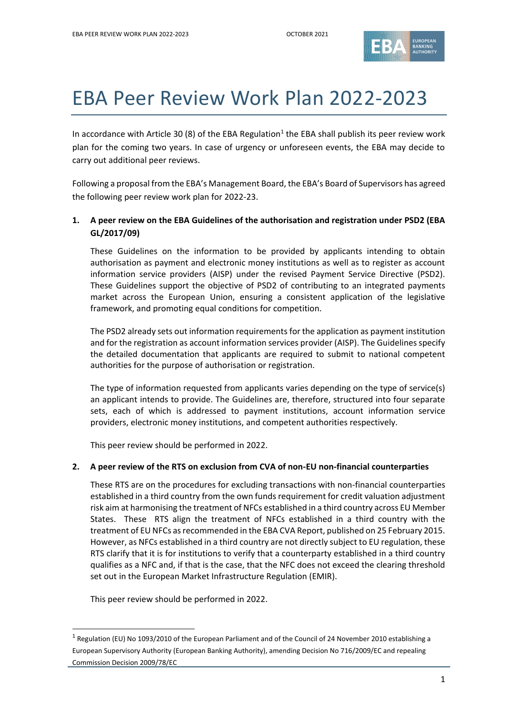

# EBA Peer Review Work Plan 2022-2023

In accordance with Article 30 (8) of the EBA Regulation<sup>1</sup> the EBA shall publish its peer review work plan for the coming two years. In case of urgency or unforeseen events, the EBA may decide to carry out additional peer reviews.

Following a proposal from the EBA's Management Board, the EBA's Board of Supervisors has agreed the following peer review work plan for 2022-23.

### **1. A peer review on the EBA Guidelines of the authorisation and registration under PSD2 (EBA GL/2017/09)**

These Guidelines on the information to be provided by applicants intending to obtain authorisation as payment and electronic money institutions as well as to register as account information service providers (AISP) under the revised Payment Service Directive (PSD2). These Guidelines support the objective of PSD2 of contributing to an integrated payments market across the European Union, ensuring a consistent application of the legislative framework, and promoting equal conditions for competition.

The PSD2 already sets out information requirements for the application as payment institution and for the registration as account information services provider (AISP). The Guidelines specify the detailed documentation that applicants are required to submit to national competent authorities for the purpose of authorisation or registration.

The type of information requested from applicants varies depending on the type of service(s) an applicant intends to provide. The Guidelines are, therefore, structured into four separate sets, each of which is addressed to payment institutions, account information service providers, electronic money institutions, and competent authorities respectively.

This peer review should be performed in 2022.

#### **2. A peer review of the RTS on exclusion from CVA of non-EU non-financial counterparties**

These RTS are on the procedures for excluding transactions with non-financial counterparties established in a third country from the own funds requirement for credit valuation adjustment risk aim at harmonising the treatment of NFCs established in a third country across EU Member States. These RTS align the treatment of NFCs established in a third country with the treatment of EU NFCs as recommended in the EBA CVA Report, published on 25 February 2015. However, as NFCs established in a third country are not directly subject to EU regulation, these RTS clarify that it is for institutions to verify that a counterparty established in a third country qualifies as a NFC and, if that is the case, that the NFC does not exceed the clearing threshold set out in the European Market Infrastructure Regulation (EMIR).

This peer review should be performed in 2022.

<sup>&</sup>lt;sup>1</sup> Regulation (EU) No 1093/2010 of the European Parliament and of the Council of 24 November 2010 establishing a European Supervisory Authority (European Banking Authority), amending Decision No 716/2009/EC and repealing Commission Decision 2009/78/EC